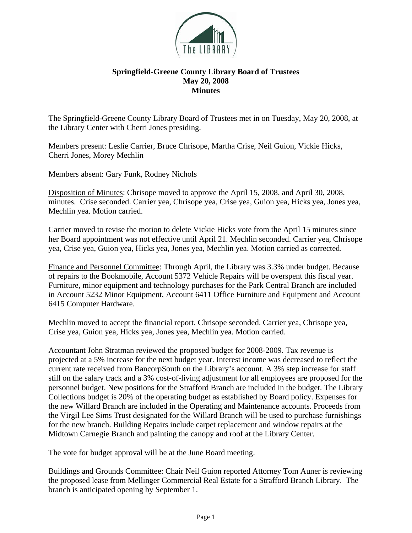

## **Springfield-Greene County Library Board of Trustees May 20, 2008 Minutes**

The Springfield-Greene County Library Board of Trustees met in on Tuesday, May 20, 2008, at the Library Center with Cherri Jones presiding.

Members present: Leslie Carrier, Bruce Chrisope, Martha Crise, Neil Guion, Vickie Hicks, Cherri Jones, Morey Mechlin

Members absent: Gary Funk, Rodney Nichols

Disposition of Minutes: Chrisope moved to approve the April 15, 2008, and April 30, 2008, minutes. Crise seconded. Carrier yea, Chrisope yea, Crise yea, Guion yea, Hicks yea, Jones yea, Mechlin yea. Motion carried.

Carrier moved to revise the motion to delete Vickie Hicks vote from the April 15 minutes since her Board appointment was not effective until April 21. Mechlin seconded. Carrier yea, Chrisope yea, Crise yea, Guion yea, Hicks yea, Jones yea, Mechlin yea. Motion carried as corrected.

Finance and Personnel Committee: Through April, the Library was 3.3% under budget. Because of repairs to the Bookmobile, Account 5372 Vehicle Repairs will be overspent this fiscal year. Furniture, minor equipment and technology purchases for the Park Central Branch are included in Account 5232 Minor Equipment, Account 6411 Office Furniture and Equipment and Account 6415 Computer Hardware.

Mechlin moved to accept the financial report. Chrisope seconded. Carrier yea, Chrisope yea, Crise yea, Guion yea, Hicks yea, Jones yea, Mechlin yea. Motion carried.

Accountant John Stratman reviewed the proposed budget for 2008-2009. Tax revenue is projected at a 5% increase for the next budget year. Interest income was decreased to reflect the current rate received from BancorpSouth on the Library's account. A 3% step increase for staff still on the salary track and a 3% cost-of-living adjustment for all employees are proposed for the personnel budget. New positions for the Strafford Branch are included in the budget. The Library Collections budget is 20% of the operating budget as established by Board policy. Expenses for the new Willard Branch are included in the Operating and Maintenance accounts. Proceeds from the Virgil Lee Sims Trust designated for the Willard Branch will be used to purchase furnishings for the new branch. Building Repairs include carpet replacement and window repairs at the Midtown Carnegie Branch and painting the canopy and roof at the Library Center.

The vote for budget approval will be at the June Board meeting.

Buildings and Grounds Committee: Chair Neil Guion reported Attorney Tom Auner is reviewing the proposed lease from Mellinger Commercial Real Estate for a Strafford Branch Library. The branch is anticipated opening by September 1.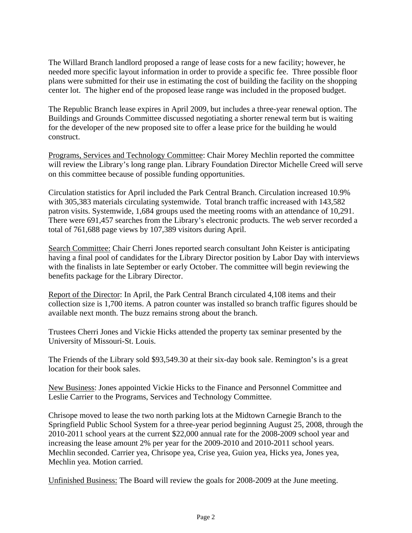The Willard Branch landlord proposed a range of lease costs for a new facility; however, he needed more specific layout information in order to provide a specific fee. Three possible floor plans were submitted for their use in estimating the cost of building the facility on the shopping center lot. The higher end of the proposed lease range was included in the proposed budget.

The Republic Branch lease expires in April 2009, but includes a three-year renewal option. The Buildings and Grounds Committee discussed negotiating a shorter renewal term but is waiting for the developer of the new proposed site to offer a lease price for the building he would construct.

Programs, Services and Technology Committee: Chair Morey Mechlin reported the committee will review the Library's long range plan. Library Foundation Director Michelle Creed will serve on this committee because of possible funding opportunities.

Circulation statistics for April included the Park Central Branch. Circulation increased 10.9% with 305,383 materials circulating systemwide. Total branch traffic increased with 143,582 patron visits. Systemwide, 1,684 groups used the meeting rooms with an attendance of 10,291. There were 691,457 searches from the Library's electronic products. The web server recorded a total of 761,688 page views by 107,389 visitors during April.

Search Committee: Chair Cherri Jones reported search consultant John Keister is anticipating having a final pool of candidates for the Library Director position by Labor Day with interviews with the finalists in late September or early October. The committee will begin reviewing the benefits package for the Library Director.

Report of the Director: In April, the Park Central Branch circulated 4,108 items and their collection size is 1,700 items. A patron counter was installed so branch traffic figures should be available next month. The buzz remains strong about the branch.

Trustees Cherri Jones and Vickie Hicks attended the property tax seminar presented by the University of Missouri-St. Louis.

The Friends of the Library sold \$93,549.30 at their six-day book sale. Remington's is a great location for their book sales.

New Business: Jones appointed Vickie Hicks to the Finance and Personnel Committee and Leslie Carrier to the Programs, Services and Technology Committee.

Chrisope moved to lease the two north parking lots at the Midtown Carnegie Branch to the Springfield Public School System for a three-year period beginning August 25, 2008, through the 2010-2011 school years at the current \$22,000 annual rate for the 2008-2009 school year and increasing the lease amount 2% per year for the 2009-2010 and 2010-2011 school years. Mechlin seconded. Carrier yea, Chrisope yea, Crise yea, Guion yea, Hicks yea, Jones yea, Mechlin yea. Motion carried.

Unfinished Business: The Board will review the goals for 2008-2009 at the June meeting.